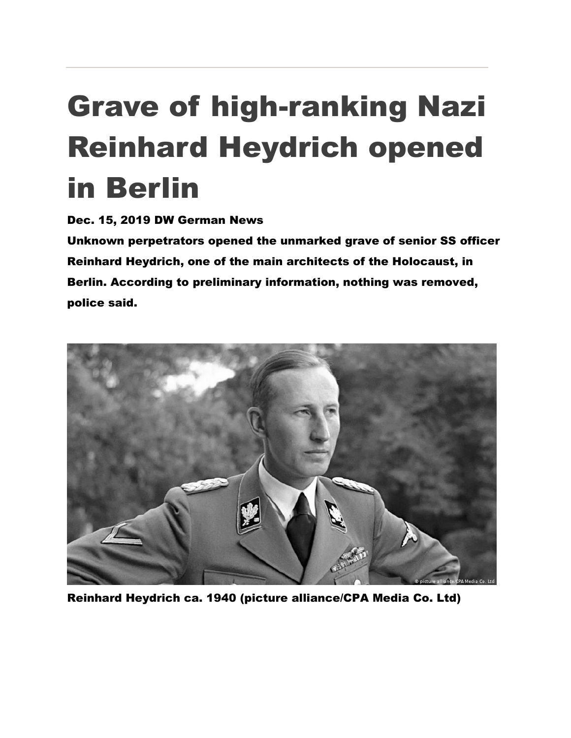## Grave of high-ranking Nazi Reinhard Heydrich opened in Berlin

Dec. 15, 2019 DW German News

Unknown perpetrators opened the unmarked grave of senior SS officer Reinhard Heydrich, one of the main architects of the Holocaust, in Berlin. According to preliminary information, nothing was removed, police said.



Reinhard Heydrich ca. 1940 (picture alliance/CPA Media Co. Ltd)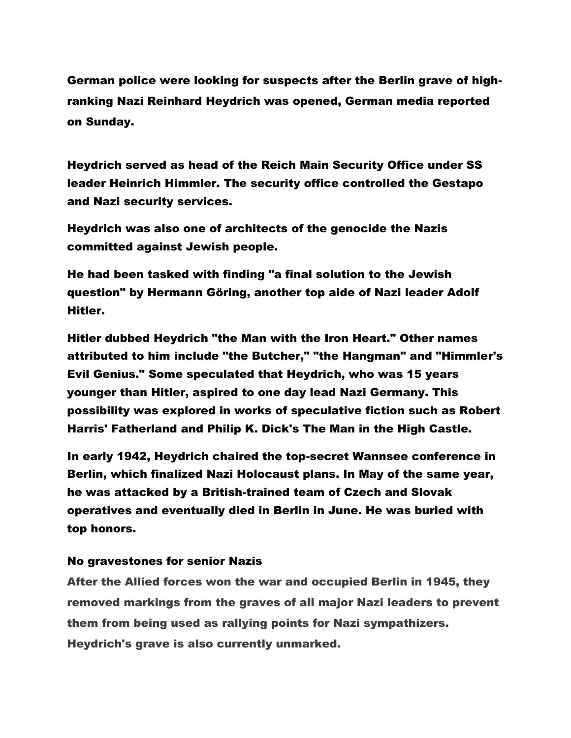German police were looking for suspects after the Berlin grave of highranking Nazi Reinhard Heydrich was opened, German media reported on Sunday.

Heydrich served as head of the Reich Main Security Office under SS leader Heinrich Himmler. The security office controlled the Gestapo and Nazi security services.

Heydrich was also one of architects of the genocide the Nazis committed against Jewish people.

He had been tasked with finding "a final solution to the Jewish question" by Hermann Göring, another top aide of Nazi leader Adolf Hitler.

Hitler dubbed Heydrich "the Man with the Iron Heart." Other names attributed to him include "the Butcher," "the Hangman" and "Himmler's Evil Genius." Some speculated that Heydrich, who was 15 years younger than Hitler, aspired to one day lead Nazi Germany. This possibility was explored in works of speculative fiction such as Robert Harris' Fatherland and Philip K. Dick's The Man in the High Castle.

In early 1942, Heydrich chaired the top-secret Wannsee conference in Berlin, which finalized Nazi Holocaust plans. In May of the same year, he was attacked by a British-trained team of Czech and Slovak operatives and eventually died in Berlin in June. He was buried with top honors.

## No gravestones for senior Nazis

After the Allied forces won the war and occupied Berlin in 1945, they removed markings from the graves of all major Nazi leaders to prevent them from being used as rallying points for Nazi sympathizers. Heydrich's grave is also currently unmarked.